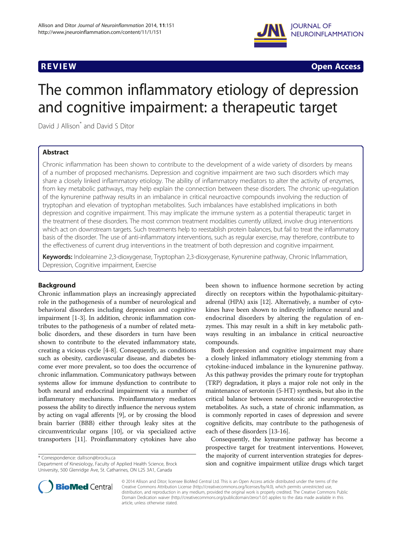

**REVIEW CONSTRUCTION CONSTRUCTION CONSTRUCTION CONSTRUCTS** 

# The common inflammatory etiology of depression and cognitive impairment: a therapeutic target

David J Allison<sup>\*</sup> and David S Ditor

# Abstract

Chronic inflammation has been shown to contribute to the development of a wide variety of disorders by means of a number of proposed mechanisms. Depression and cognitive impairment are two such disorders which may share a closely linked inflammatory etiology. The ability of inflammatory mediators to alter the activity of enzymes, from key metabolic pathways, may help explain the connection between these disorders. The chronic up-regulation of the kynurenine pathway results in an imbalance in critical neuroactive compounds involving the reduction of tryptophan and elevation of tryptophan metabolites. Such imbalances have established implications in both depression and cognitive impairment. This may implicate the immune system as a potential therapeutic target in the treatment of these disorders. The most common treatment modalities currently utilized, involve drug interventions which act on downstream targets. Such treatments help to reestablish protein balances, but fail to treat the inflammatory basis of the disorder. The use of anti-inflammatory interventions, such as regular exercise, may therefore, contribute to the effectiveness of current drug interventions in the treatment of both depression and cognitive impairment.

Keywords: Indoleamine 2,3-dioxygenase, Tryptophan 2,3-dioxygenase, Kynurenine pathway, Chronic Inflammation, Depression, Cognitive impairment, Exercise

# Background

Chronic inflammation plays an increasingly appreciated role in the pathogenesis of a number of neurological and behavioral disorders including depression and cognitive impairment [\[1-3](#page-9-0)]. In addition, chronic inflammation contributes to the pathogenesis of a number of related metabolic disorders, and these disorders in turn have been shown to contribute to the elevated inflammatory state, creating a vicious cycle [[4-8](#page-9-0)]. Consequently, as conditions such as obesity, cardiovascular disease, and diabetes become ever more prevalent, so too does the occurrence of chronic inflammation. Communicatory pathways between systems allow for immune dysfunction to contribute to both neural and endocrinal impairment via a number of inflammatory mechanisms. Proinflammatory mediators possess the ability to directly influence the nervous system by acting on vagal afferents [\[9](#page-9-0)], or by crossing the blood brain barrier (BBB) either through leaky sites at the circumventricular organs [\[10\]](#page-9-0), or via specialized active transporters [[11\]](#page-9-0). Proinflammatory cytokines have also

\* Correspondence: [dallison@brocku.ca](mailto:dallison@brocku.ca)

Department of Kinesiology, Faculty of Applied Health Science, Brock University, 500 Glenridge Ave, St. Catharines, ON L2S 3A1, Canada



Both depression and cognitive impairment may share a closely linked inflammatory etiology stemming from a cytokine-induced imbalance in the kynurenine pathway. As this pathway provides the primary route for tryptophan (TRP) degradation, it plays a major role not only in the maintenance of serotonin (5-HT) synthesis, but also in the critical balance between neurotoxic and neuroprotective metabolites. As such, a state of chronic inflammation, as is commonly reported in cases of depression and severe cognitive deficits, may contribute to the pathogenesis of each of these disorders [[13](#page-9-0)-[16](#page-9-0)].

Consequently, the kynurenine pathway has become a prospective target for treatment interventions. However, the majority of current intervention strategies for depression and cognitive impairment utilize drugs which target



© 2014 Allison and Ditor; licensee BioMed Central Ltd. This is an Open Access article distributed under the terms of the Creative Commons Attribution License (<http://creativecommons.org/licenses/by/4.0>), which permits unrestricted use, distribution, and reproduction in any medium, provided the original work is properly credited. The Creative Commons Public Domain Dedication waiver [\(http://creativecommons.org/publicdomain/zero/1.0/\)](http://creativecommons.org/publicdomain/zero/1.0/) applies to the data made available in this article, unless otherwise stated.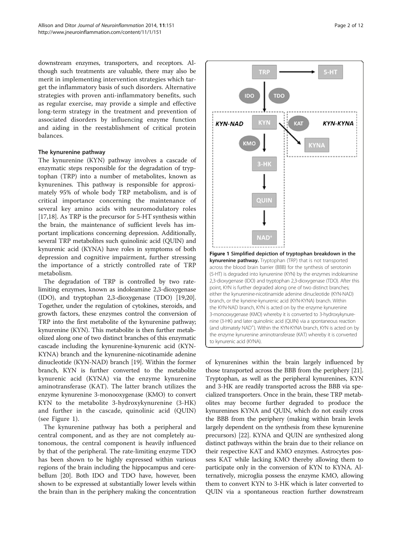downstream enzymes, transporters, and receptors. Although such treatments are valuable, there may also be merit in implementing intervention strategies which target the inflammatory basis of such disorders. Alternative strategies with proven anti-inflammatory benefits, such as regular exercise, may provide a simple and effective long-term strategy in the treatment and prevention of associated disorders by influencing enzyme function and aiding in the reestablishment of critical protein balances.

### The kynurenine pathway

The kynurenine (KYN) pathway involves a cascade of enzymatic steps responsible for the degradation of tryptophan (TRP) into a number of metabolites, known as kynurenines. This pathway is responsible for approximately 95% of whole body TRP metabolism, and is of critical importance concerning the maintenance of several key amino acids with neuromodulatory roles [[17,18](#page-9-0)]. As TRP is the precursor for 5-HT synthesis within the brain, the maintenance of sufficient levels has important implications concerning depression. Additionally, several TRP metabolites such quinolinic acid (QUIN) and kynurenic acid (KYNA) have roles in symptoms of both depression and cognitive impairment, further stressing the importance of a strictly controlled rate of TRP metabolism.

The degradation of TRP is controlled by two ratelimiting enzymes, known as indoleamine 2,3-dioxygenase (IDO), and tryptophan 2,3-dioxygenase (TDO) [\[19,20](#page-9-0)]. Together, under the regulation of cytokines, steroids, and growth factors, these enzymes control the conversion of TRP into the first metabolite of the kynurenine pathway; kynurenine (KYN). This metabolite is then further metabolized along one of two distinct branches of this enzymatic cascade including the kynurenine-kynurenic acid (KYN-KYNA) branch and the kynurenine-nicotinamide adenine dinucleotide (KYN-NAD) branch [\[19](#page-9-0)]. Within the former branch, KYN is further converted to the metabolite kynurenic acid (KYNA) via the enzyme kynurenine aminotransferase (KAT). The latter branch utilizes the enzyme kynurenine 3-monooxygenase (KMO) to convert KYN to the metabolite 3-hydroxykynurenine (3-HK) and further in the cascade, quinolinic acid (QUIN) (see Figure 1).

The kynurenine pathway has both a peripheral and central component, and as they are not completely autonomous, the central component is heavily influenced by that of the peripheral. The rate-limiting enzyme TDO has been shown to be highly expressed within various regions of the brain including the hippocampus and cerebellum [[20](#page-9-0)]. Both IDO and TDO have, however, been shown to be expressed at substantially lower levels within the brain than in the periphery making the concentration



of kynurenines within the brain largely influenced by those transported across the BBB from the periphery [[21](#page-9-0)]. Tryptophan, as well as the peripheral kynurenines, KYN and 3-HK are readily transported across the BBB via specialized transporters. Once in the brain, these TRP metabolites may become further degraded to produce the kynurenines KYNA and QUIN, which do not easily cross the BBB from the periphery (making within brain levels largely dependent on the synthesis from these kynurenine precursors) [[22](#page-9-0)]. KYNA and QUIN are synthesized along distinct pathways within the brain due to their reliance on their respective KAT and KMO enzymes. Astrocytes possess KAT while lacking KMO thereby allowing them to participate only in the conversion of KYN to KYNA. Alternatively, microglia possess the enzyme KMO, allowing them to convert KYN to 3-HK which is later converted to QUIN via a spontaneous reaction further downstream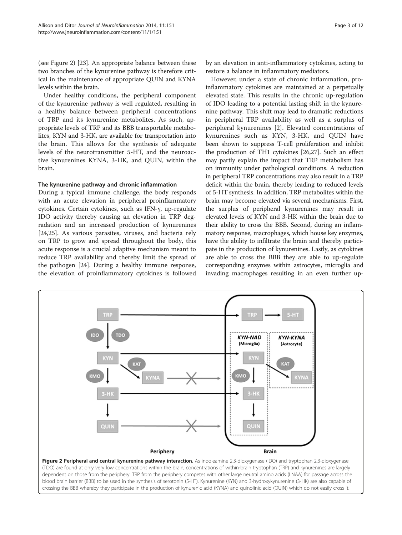(see Figure 2) [[23](#page-9-0)]. An appropriate balance between these two branches of the kynurenine pathway is therefore critical in the maintenance of appropriate QUIN and KYNA levels within the brain.

Under healthy conditions, the peripheral component of the kynurenine pathway is well regulated, resulting in a healthy balance between peripheral concentrations of TRP and its kynurenine metabolites. As such, appropriate levels of TRP and its BBB transportable metabolites, KYN and 3-HK, are available for transportation into the brain. This allows for the synthesis of adequate levels of the neurotransmitter 5-HT, and the neuroactive kynurenines KYNA, 3-HK, and QUIN, within the brain.

### The kynurenine pathway and chronic inflammation

During a typical immune challenge, the body responds with an acute elevation in peripheral proinflammatory cytokines. Certain cytokines, such as IFN-γ, up-regulate IDO activity thereby causing an elevation in TRP degradation and an increased production of kynurenines [[24,25\]](#page-9-0). As various parasites, viruses, and bacteria rely on TRP to grow and spread throughout the body, this acute response is a crucial adaptive mechanism meant to reduce TRP availability and thereby limit the spread of the pathogen [\[24\]](#page-9-0). During a healthy immune response, the elevation of proinflammatory cytokines is followed by an elevation in anti-inflammatory cytokines, acting to restore a balance in inflammatory mediators.

However, under a state of chronic inflammation, proinflammatory cytokines are maintained at a perpetually elevated state. This results in the chronic up-regulation of IDO leading to a potential lasting shift in the kynurenine pathway. This shift may lead to dramatic reductions in peripheral TRP availability as well as a surplus of peripheral kynurenines [[2\]](#page-9-0). Elevated concentrations of kynurenines such as KYN, 3-HK, and QUIN have been shown to suppress T-cell proliferation and inhibit the production of TH1 cytokines [[26,27](#page-9-0)]. Such an effect may partly explain the impact that TRP metabolism has on immunity under pathological conditions. A reduction in peripheral TRP concentrations may also result in a TRP deficit within the brain, thereby leading to reduced levels of 5-HT synthesis. In addition, TRP metabolites within the brain may become elevated via several mechanisms. First, the surplus of peripheral kynurenines may result in elevated levels of KYN and 3-HK within the brain due to their ability to cross the BBB. Second, during an inflammatory response, macrophages, which house key enzymes, have the ability to infiltrate the brain and thereby participate in the production of kynurenines. Lastly, as cytokines are able to cross the BBB they are able to up-regulate corresponding enzymes within astrocytes, microglia and invading macrophages resulting in an even further up-



dependent on those from the periphery. TRP from the periphery competes with other large neutral amino acids (LNAA) for passage across the blood brain barrier (BBB) to be used in the synthesis of serotonin (5-HT). Kynurenine (KYN) and 3-hydroxykynurenine (3-HK) are also capable of crossing the BBB whereby they participate in the production of kynurenic acid (KYNA) and quinolinic acid (QUIN) which do not easily cross it.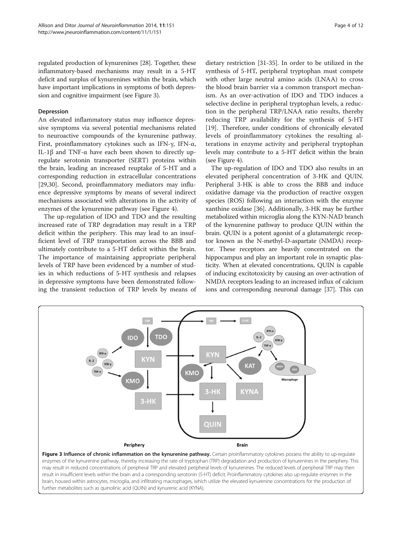regulated production of kynurenines [[28](#page-9-0)]. Together, these inflammatory-based mechanisms may result in a 5-HT deficit and surplus of kynurenines within the brain, which have important implications in symptoms of both depression and cognitive impairment (see Figure 3).

# Depression

An elevated inflammatory status may influence depressive symptoms via several potential mechanisms related to neuroactive compounds of the kynurenine pathway. First, proinflammatory cytokines such as IFN-γ, IFN-α, IL-1β and TNF-α have each been shown to directly upregulate serotonin transporter (SERT) proteins within the brain, leading an increased reuptake of 5-HT and a corresponding reduction in extracellular concentrations [[29,30\]](#page-9-0). Second, proinflammatory mediators may influence depressive symptoms by means of several indirect mechanisms associated with alterations in the activity of enzymes of the kynurenine pathway (see Figure [4](#page-4-0)).

The up-regulation of IDO and TDO and the resulting increased rate of TRP degradation may result in a TRP deficit within the periphery. This may lead to an insufficient level of TRP transportation across the BBB and ultimately contribute to a 5-HT deficit within the brain. The importance of maintaining appropriate peripheral levels of TRP have been evidenced by a number of studies in which reductions of 5-HT synthesis and relapses in depressive symptoms have been demonstrated following the transient reduction of TRP levels by means of

dietary restriction [[31-35](#page-9-0)]. In order to be utilized in the synthesis of 5-HT, peripheral tryptophan must compete with other large neutral amino acids (LNAA) to cross the blood brain barrier via a common transport mechanism. As an over-activation of IDO and TDO induces a selective decline in peripheral tryptophan levels, a reduction in the peripheral TRP/LNAA ratio results, thereby

reducing TRP availability for the synthesis of 5-HT [[19\]](#page-9-0). Therefore, under conditions of chronically elevated levels of proinflammatory cytokines the resulting alterations in enzyme activity and peripheral tryptophan levels may contribute to a 5-HT deficit within the brain (see Figure [4](#page-4-0)).

The up-regulation of IDO and TDO also results in an elevated peripheral concentration of 3-HK and QUIN. Peripheral 3-HK is able to cross the BBB and induce oxidative damage via the production of reactive oxygen species (ROS) following an interaction with the enzyme xanthine oxidase [\[36](#page-9-0)]. Additionally, 3-HK may be further metabolized within microglia along the KYN-NAD branch of the kynurenine pathway to produce QUIN within the brain. QUIN is a potent agonist of a glutamatergic receptor known as the N-methyl-D-aspartate (NMDA) receptor. These receptors are heavily concentrated on the hippocampus and play an important role in synaptic plasticity. When at elevated concentrations, QUIN is capable of inducing excitotoxicity by causing an over-activation of NMDA receptors leading to an increased influx of calcium ions and corresponding neuronal damage [[37](#page-9-0)]. This can



Figure 3 Influence of chronic inflammation on the kynurenine pathway. Certain proinflammatory cytokines possess the ability to up-regulate enzymes of the kynurenine pathway, thereby increasing the rate of tryptophan (TRP) degradation and production of kynurenines in the periphery. This may result in reduced concentrations of peripheral TRP and elevated peripheral levels of kynurenines. The reduced levels of peripheral TRP may then result in insufficient levels within the brain and a corresponding serotonin (5-HT) deficit. Proinflammatory cytokines also up-regulate enzymes in the brain, housed within astrocytes, microglia, and infiltrating macrophages, which utilize the elevated kynurenine concentrations for the production of further metabolites such as quinolinic acid (QUIN) and kynurenic acid (KYNA).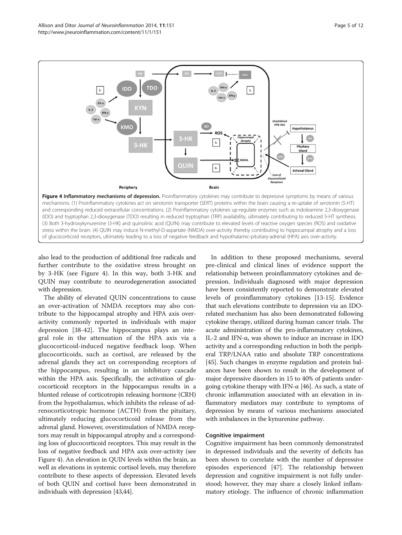<span id="page-4-0"></span>

also lead to the production of additional free radicals and further contribute to the oxidative stress brought on by 3-HK (see Figure 4). In this way, both 3-HK and QUIN may contribute to neurodegeneration associated with depression.

The ability of elevated QUIN concentrations to cause an over-activation of NMDA receptors may also contribute to the hippocampal atrophy and HPA axis overactivity commonly reported in individuals with major depression [\[38](#page-9-0)-[42\]](#page-9-0). The hippocampus plays an integral role in the attenuation of the HPA axis via a glucocorticoid-induced negative feedback loop. When glucocorticoids, such as cortisol, are released by the adrenal glands they act on corresponding receptors of the hippocampus, resulting in an inhibitory cascade within the HPA axis. Specifically, the activation of glucocorticoid receptors in the hippocampus results in a blunted release of corticotropin releasing hormone (CRH) from the hypothalamus, which inhibits the release of adrenocorticotropic hormone (ACTH) from the pituitary, ultimately reducing glucocorticoid release from the adrenal gland. However, overstimulation of NMDA receptors may result in hippocampal atrophy and a corresponding loss of glucocorticoid receptors. This may result in the loss of negative feedback and HPA axis over-activity (see Figure 4). An elevation in QUIN levels within the brain, as well as elevations in systemic cortisol levels, may therefore contribute to these aspects of depression. Elevated levels of both QUIN and cortisol have been demonstrated in individuals with depression [\[43,44](#page-9-0)].

In addition to these proposed mechanisms, several pre-clinical and clinical lines of evidence support the relationship between proinflammatory cytokines and depression. Individuals diagnosed with major depression have been consistently reported to demonstrate elevated levels of proinflammatory cytokines [\[13-15\]](#page-9-0). Evidence that such elevations contribute to depression via an IDOrelated mechanism has also been demonstrated following cytokine therapy, utilized during human cancer trials. The acute administration of the pro-inflammatory cytokines, IL-2 and IFN-α, was shown to induce an increase in IDO activity and a corresponding reduction in both the peripheral TRP/LNAA ratio and absolute TRP concentrations [[45](#page-9-0)]. Such changes in enzyme regulation and protein balances have been shown to result in the development of major depressive disorders in 15 to 40% of patients undergoing cytokine therapy with IFN- $\alpha$  [[46](#page-10-0)]. As such, a state of chronic inflammation associated with an elevation in inflammatory mediators may contribute to symptoms of depression by means of various mechanisms associated with imbalances in the kynurenine pathway.

## Cognitive impairment

Cognitive impairment has been commonly demonstrated in depressed individuals and the severity of deficits has been shown to correlate with the number of depressive episodes experienced [[47\]](#page-10-0). The relationship between depression and cognitive impairment is not fully understood; however, they may share a closely linked inflammatory etiology. The influence of chronic inflammation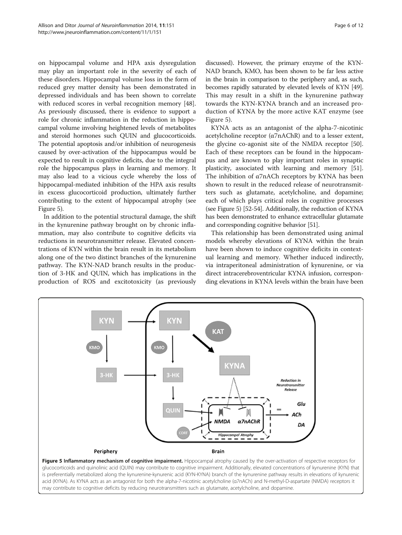on hippocampal volume and HPA axis dysregulation may play an important role in the severity of each of these disorders. Hippocampal volume loss in the form of reduced grey matter density has been demonstrated in depressed individuals and has been shown to correlate with reduced scores in verbal recognition memory [\[48](#page-10-0)]. As previously discussed, there is evidence to support a role for chronic inflammation in the reduction in hippocampal volume involving heightened levels of metabolites and steroid hormones such QUIN and glucocorticoids. The potential apoptosis and/or inhibition of neurogenesis caused by over-activation of the hippocampus would be expected to result in cognitive deficits, due to the integral role the hippocampus plays in learning and memory. It may also lead to a vicious cycle whereby the loss of hippocampal-mediated inhibition of the HPA axis results in excess glucocorticoid production, ultimately further contributing to the extent of hippocampal atrophy (see Figure 5).

In addition to the potential structural damage, the shift in the kynurenine pathway brought on by chronic inflammation, may also contribute to cognitive deficits via reductions in neurotransmitter release. Elevated concentrations of KYN within the brain result in its metabolism along one of the two distinct branches of the kynurenine pathway. The KYN-NAD branch results in the production of 3-HK and QUIN, which has implications in the production of ROS and excitotoxicity (as previously NAD branch, KMO, has been shown to be far less active in the brain in comparison to the periphery and, as such, becomes rapidly saturated by elevated levels of KYN [\[49](#page-10-0)]. This may result in a shift in the kynurenine pathway towards the KYN-KYNA branch and an increased production of KYNA by the more active KAT enzyme (see Figure 5).

KYNA acts as an antagonist of the alpha-7-nicotinic acetylcholine receptor (α7nAChR) and to a lesser extent, the glycine co-agonist site of the NMDA receptor [\[50](#page-10-0)]. Each of these receptors can be found in the hippocampus and are known to play important roles in synaptic plasticity, associated with learning and memory [\[51](#page-10-0)]. The inhibition of α7nACh receptors by KYNA has been shown to result in the reduced release of neurotransmitters such as glutamate, acetylcholine, and dopamine; each of which plays critical roles in cognitive processes (see Figure 5) [\[52-54\]](#page-10-0). Additionally, the reduction of KYNA has been demonstrated to enhance extracellular glutamate and corresponding cognitive behavior [\[51](#page-10-0)].

This relationship has been demonstrated using animal models whereby elevations of KYNA within the brain have been shown to induce cognitive deficits in contextual learning and memory. Whether induced indirectly, via intraperitoneal administration of kynurenine, or via direct intracerebroventricular KYNA infusion, corresponding elevations in KYNA levels within the brain have been



glucocorticoids and quinolinic acid (QUIN) may contribute to cognitive impairment. Additionally, elevated concentrations of kynurenine (KYN) that is preferentially metabolized along the kynurenine-kynurenic acid (KYN-KYNA) branch of the kynurenine pathway results in elevations of kynurenic acid (KYNA). As KYNA acts as an antagonist for both the alpha-7-nicotinic acetylcholine (α7nACh) and N-methyl-D-aspartate (NMDA) receptors it may contribute to cognitive deficits by reducing neurotransmitters such as glutamate, acetylcholine, and dopamine.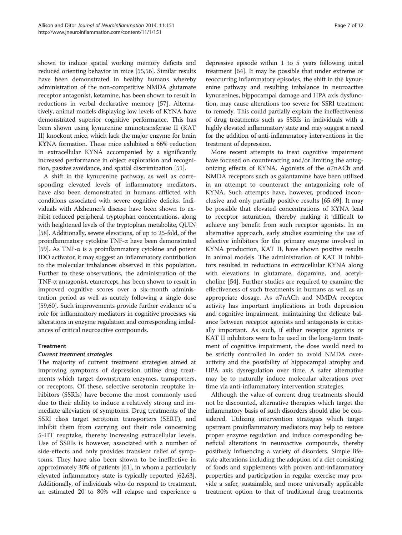shown to induce spatial working memory deficits and reduced orienting behavior in mice [[55,56](#page-10-0)]. Similar results have been demonstrated in healthy humans whereby administration of the non-competitive NMDA glutamate receptor antagonist, ketamine, has been shown to result in reductions in verbal declarative memory [[57\]](#page-10-0). Alternatively, animal models displaying low levels of KYNA have demonstrated superior cognitive performance. This has been shown using kynurenine aminotransferase II (KAT II) knockout mice, which lack the major enzyme for brain KYNA formation. These mice exhibited a 66% reduction in extracellular KYNA accompanied by a significantly increased performance in object exploration and recognition, passive avoidance, and spatial discrimination [\[51\]](#page-10-0).

A shift in the kynurenine pathway, as well as corresponding elevated levels of inflammatory mediators, have also been demonstrated in humans afflicted with conditions associated with severe cognitive deficits. Individuals with Alzheimer's disease have been shown to exhibit reduced peripheral tryptophan concentrations, along with heightened levels of the tryptophan metabolite, QUIN [[58](#page-10-0)]. Additionally, severe elevations, of up to 25-fold, of the proinflammatory cytokine TNF-α have been demonstrated [[59](#page-10-0)]. As TNF- $\alpha$  is a proinflammatory cytokine and potent IDO activator, it may suggest an inflammatory contribution to the molecular imbalances observed in this population. Further to these observations, the administration of the TNF-α antagonist, etanercept, has been shown to result in improved cognitive scores over a six-month administration period as well as acutely following a single dose [[59,60](#page-10-0)]. Such improvements provide further evidence of a role for inflammatory mediators in cognitive processes via alterations in enzyme regulation and corresponding imbalances of critical neuroactive compounds.

# **Treatment**

The majority of current treatment strategies aimed at improving symptoms of depression utilize drug treatments which target downstream enzymes, transporters, or receptors. Of these, selective serotonin reuptake inhibitors (SSRIs) have become the most commonly used due to their ability to induce a relatively strong and immediate alleviation of symptoms. Drug treatments of the SSRI class target serotonin transporters (SERT), and inhibit them from carrying out their role concerning 5-HT reuptake, thereby increasing extracellular levels. Use of SSRIs is however, associated with a number of side-effects and only provides transient relief of symptoms. They have also been shown to be ineffective in approximately 30% of patients [[61](#page-10-0)], in whom a particularly elevated inflammatory state is typically reported [\[62,63](#page-10-0)]. Additionally, of individuals who do respond to treatment, an estimated 20 to 80% will relapse and experience a depressive episode within 1 to 5 years following initial treatment [[64](#page-10-0)]. It may be possible that under extreme or reoccurring inflammatory episodes, the shift in the kynurenine pathway and resulting imbalance in neuroactive kynurenines, hippocampal damage and HPA axis dysfunction, may cause alterations too severe for SSRI treatment to remedy. This could partially explain the ineffectiveness of drug treatments such as SSRIs in individuals with a highly elevated inflammatory state and may suggest a need for the addition of anti-inflammatory interventions in the treatment of depression.

More recent attempts to treat cognitive impairment have focused on counteracting and/or limiting the antagonizing effects of KYNA. Agonists of the α7nACh and NMDA receptors such as galantamine have been utilized in an attempt to counteract the antagonizing role of KYNA. Such attempts have, however, produced inconclusive and only partially positive results [[65-69\]](#page-10-0). It may be possible that elevated concentrations of KYNA lead to receptor saturation, thereby making it difficult to achieve any benefit from such receptor agonists. In an alternative approach, early studies examining the use of selective inhibitors for the primary enzyme involved in KYNA production, KAT II, have shown positive results in animal models. The administration of KAT II inhibitors resulted in reductions in extracellular KYNA along with elevations in glutamate, dopamine, and acetylcholine [[54\]](#page-10-0). Further studies are required to examine the effectiveness of such treatments in humans as well as an appropriate dosage. As α7nACh and NMDA receptor activity has important implications in both depression and cognitive impairment, maintaining the delicate balance between receptor agonists and antagonists is critically important. As such, if either receptor agonists or KAT II inhibitors were to be used in the long-term treatment of cognitive impairment, the dose would need to be strictly controlled in order to avoid NMDA overactivity and the possibility of hippocampal atrophy and HPA axis dysregulation over time. A safer alternative may be to naturally induce molecular alterations over time via anti-inflammatory intervention strategies.

Although the value of current drug treatments should not be discounted, alternative therapies which target the inflammatory basis of such disorders should also be considered. Utilizing intervention strategies which target upstream proinflammatory mediators may help to restore proper enzyme regulation and induce corresponding beneficial alterations in neuroactive compounds, thereby positively influencing a variety of disorders. Simple lifestyle alterations including the adoption of a diet consisting of foods and supplements with proven anti-inflammatory properties and participation in regular exercise may provide a safer, sustainable, and more universally applicable treatment option to that of traditional drug treatments.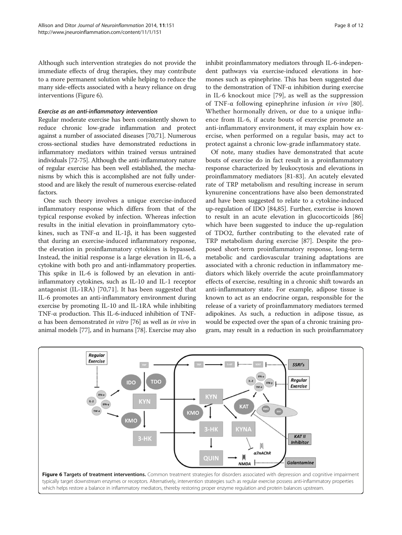Although such intervention strategies do not provide the immediate effects of drug therapies, they may contribute to a more permanent solution while helping to reduce the many side-effects associated with a heavy reliance on drug interventions (Figure 6).

Regular moderate exercise has been consistently shown to reduce chronic low-grade inflammation and protect against a number of associated diseases [\[70,71](#page-10-0)]. Numerous cross-sectional studies have demonstrated reductions in inflammatory mediators within trained versus untrained individuals [\[72-75](#page-10-0)]. Although the anti-inflammatory nature of regular exercise has been well established, the mechanisms by which this is accomplished are not fully understood and are likely the result of numerous exercise-related factors.

One such theory involves a unique exercise-induced inflammatory response which differs from that of the typical response evoked by infection. Whereas infection results in the initial elevation in proinflammatory cytokines, such as TNF- $\alpha$  and IL-1β, it has been suggested that during an exercise-induced inflammatory response, the elevation in proinflammatory cytokines is bypassed. Instead, the initial response is a large elevation in IL-6, a cytokine with both pro and anti-inflammatory properties. This spike in IL-6 is followed by an elevation in antiinflammatory cytokines, such as IL-10 and IL-1 receptor antagonist (IL-1RA) [[70,71](#page-10-0)]. It has been suggested that IL-6 promotes an anti-inflammatory environment during exercise by promoting IL-10 and IL-1RA while inhibiting TNF-α production. This IL-6-induced inhibition of TNFα has been demonstrated in vitro [\[76\]](#page-10-0) as well as in vivo in animal models [[77](#page-10-0)], and in humans [\[78\]](#page-10-0). Exercise may also inhibit proinflammatory mediators through IL-6-independent pathways via exercise-induced elevations in hormones such as epinephrine. This has been suggested due to the demonstration of TNF-α inhibition during exercise in IL-6 knockout mice [[79\]](#page-10-0), as well as the suppression of TNF-α following epinephrine infusion in vivo [\[80](#page-10-0)]. Whether hormonally driven, or due to a unique influence from IL-6, if acute bouts of exercise promote an anti-inflammatory environment, it may explain how exercise, when performed on a regular basis, may act to protect against a chronic low-grade inflammatory state.

Of note, many studies have demonstrated that acute bouts of exercise do in fact result in a proinflammatory response characterized by leukocytosis and elevations in proinflammatory mediators [[81-83\]](#page-10-0). An acutely elevated rate of TRP metabolism and resulting increase in serum kynurenine concentrations have also been demonstrated and have been suggested to relate to a cytokine-induced up-regulation of IDO [\[84,85](#page-10-0)]. Further, exercise is known to result in an acute elevation in glucocorticoids [[86](#page-10-0)] which have been suggested to induce the up-regulation of TDO2, further contributing to the elevated rate of TRP metabolism during exercise [[87](#page-10-0)]. Despite the proposed short-term proinflammatory response, long-term metabolic and cardiovascular training adaptations are associated with a chronic reduction in inflammatory mediators which likely override the acute proinflammatory effects of exercise, resulting in a chronic shift towards an anti-inflammatory state. For example, adipose tissue is known to act as an endocrine organ, responsible for the release of a variety of proinflammatory mediators termed adipokines. As such, a reduction in adipose tissue, as would be expected over the span of a chronic training program, may result in a reduction in such proinflammatory

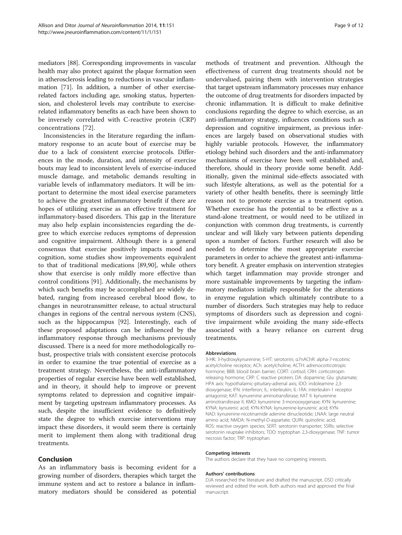mediators [\[88\]](#page-10-0). Corresponding improvements in vascular health may also protect against the plaque formation seen in atherosclerosis leading to reductions in vascular inflammation [[71](#page-10-0)]. In addition, a number of other exerciserelated factors including age, smoking status, hypertension, and cholesterol levels may contribute to exerciserelated inflammatory benefits as each have been shown to be inversely correlated with C-reactive protein (CRP) concentrations [[72\]](#page-10-0).

Inconsistencies in the literature regarding the inflammatory response to an acute bout of exercise may be due to a lack of consistent exercise protocols. Differences in the mode, duration, and intensity of exercise bouts may lead to inconsistent levels of exercise-induced muscle damage, and metabolic demands resulting in variable levels of inflammatory mediators. It will be important to determine the most ideal exercise parameters to achieve the greatest inflammatory benefit if there are hopes of utilizing exercise as an effective treatment for inflammatory-based disorders. This gap in the literature may also help explain inconsistencies regarding the degree to which exercise reduces symptoms of depression and cognitive impairment. Although there is a general consensus that exercise positively impacts mood and cognition, some studies show improvements equivalent to that of traditional medications [[89,](#page-10-0)[90\]](#page-11-0), while others show that exercise is only mildly more effective than control conditions [\[91\]](#page-11-0). Additionally, the mechanisms by which such benefits may be accomplished are widely debated, ranging from increased cerebral blood flow, to changes in neurotransmitter release, to actual structural changes in regions of the central nervous system (CNS), such as the hippocampus [\[92\]](#page-11-0). Interestingly, each of these proposed adaptations can be influenced by the inflammatory response through mechanisms previously discussed. There is a need for more methodologically robust, prospective trials with consistent exercise protocols in order to examine the true potential of exercise as a treatment strategy. Nevertheless, the anti-inflammatory properties of regular exercise have been well established, and in theory, it should help to improve or prevent symptoms related to depression and cognitive impairment by targeting upstream inflammatory processes. As such, despite the insufficient evidence to definitively state the degree to which exercise interventions may impact these disorders, it would seem there is certainly merit to implement them along with traditional drug treatments.

# Conclusion

As an inflammatory basis is becoming evident for a growing number of disorders, therapies which target the immune system and act to restore a balance in inflammatory mediators should be considered as potential methods of treatment and prevention. Although the effectiveness of current drug treatments should not be undervalued, pairing them with intervention strategies that target upstream inflammatory processes may enhance the outcome of drug treatments for disorders impacted by chronic inflammation. It is difficult to make definitive conclusions regarding the degree to which exercise, as an anti-inflammatory strategy, influences conditions such as depression and cognitive impairment, as previous inferences are largely based on observational studies with highly variable protocols. However, the inflammatory etiology behind such disorders and the anti-inflammatory mechanisms of exercise have been well established and, therefore, should in theory provide some benefit. Additionally, given the minimal side-effects associated with such lifestyle alterations, as well as the potential for a variety of other health benefits, there is seemingly little reason not to promote exercise as a treatment option. Whether exercise has the potential to be effective as a stand-alone treatment, or would need to be utilized in conjunction with common drug treatments, is currently unclear and will likely vary between patients depending upon a number of factors. Further research will also be needed to determine the most appropriate exercise parameters in order to achieve the greatest anti-inflammatory benefit. A greater emphasis on intervention strategies which target inflammation may provide stronger and more sustainable improvements by targeting the inflammatory mediators initially responsible for the alterations in enzyme regulation which ultimately contribute to a number of disorders. Such strategies may help to reduce symptoms of disorders such as depression and cognitive impairment while avoiding the many side-effects associated with a heavy reliance on current drug treatments.

### Abbreviations

3-HK: 3-hydroxykynurenine; 5-HT: serotonin; α7nAChR: alpha-7-nicotinic acetylcholine receptor; ACh: acetylcholine; ACTH: adrenocorticotropic hormone; BBB: blood brain barrier; CORT: cortisol; CRH: corticotropin releasing hormone; CRP: C reactive protein; DA: dopamine; Glu: glutamate; HPA axis: hypothalamic-pituitary-adrenal axis; IDO: indoleamine 2,3 dioxygenase; IFN: interferon; IL: interleukin; IL-1RA: interleukin-1 receptor antagonist; KAT: kynurenine aminotransferase; KAT II: kynurenine aminotransferase II; KMO: kynurenine 3-monooxygenase; KYN: kynurenine; KYNA: kynurenic acid; KYN-KYNA: kynurenine-kynurenic acid; KYN-NAD: kynurenine-nicotinamide adenine dinucleotide; LNAA: large neutral amino acid; NMDA: N-methyl-D-aspartate; QUIN: quinolinic acid; ROS: reactive oxygen species; SERT: serotonin transporter; SSRIs: selective serotonin reuptake inhibitors; TDO: tryptophan 2,3-dioxygenase; TNF: tumor necrosis factor; TRP: tryptophan.

### Competing interests

The authors declare that they have no competing interests.

### Authors' contributions

DJA researched the literature and drafted the manuscript. DSD critically reviewed and edited the work. Both authors read and approved the final manuscript.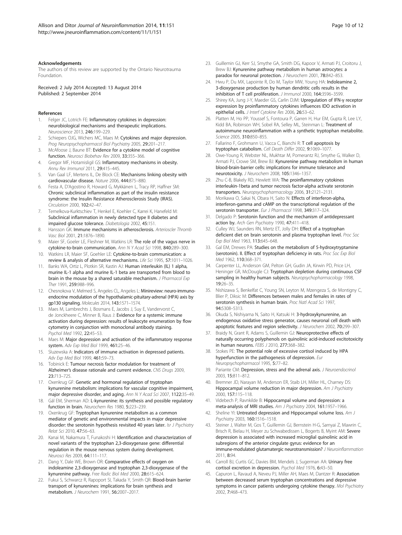### <span id="page-9-0"></span>Acknowledgements

The authors of this review are supported by the Ontario Neurotrauma Foundation.

Received: 2 July 2014 Accepted: 13 August 2014 Published: 2 September 2014

### References

- 1. Felger JC, Lotrich FE: Inflammatory cytokines in depression: neurobiological mechanisms and therapeutic implications. Neuroscience 2013, 246:199–229.
- 2. Schiepers OJG, Wichers MC, Maes M: Cytokines and major depression. Prog Neuropsychopharmacol Biol Psychiatry 2005, 29:201–217.
- 3. McAfoose J, Baune BT: Evidence for a cytokine model of cognitive function. Neurosci Biobehav Rev 2009, 33:355-366.
- 4. Gregor MF, Hotamisligil GS: Inflammatory mechanisms in obesity. Annu Rev Immunol 2011, 29:415–445.
- Van Gaal LF, Mertens IL, De Block CE: Mechanisms linking obesity with cardiovascular disease. Nature 2006, 444:875–880.
- 6. Festa A, D'Agostino R, Howard G, Mykkänen L, Tracy RP, Haffner SM: Chronic subclinical inflammation as part of the insulin resistance syndrome: the Insulin Resistance Atherosclerosis Study (IRAS). Circulation 2000, 102:42–47.
- 7. Temelkova-Kurktschiev T, Henkel E, Koehler C, Karrei K, Hanefeld M: Subclinical inflammation in newly detected type II diabetes and impaired glucose tolerance. Diabetologia 2002, 45:151.
- 8. Hansson GK: Immune mechanisms in atherosclerosis. Arterioscler Thromb Vasc Biol 2001, 21:1876–1890.
- 9. Maier SF, Goeler LE, Fleshner M, Watkins LR: The role of the vagus nerve in cytokine-to-brain communication. Ann N Y Acad Sci 1998, 840:289–300.
- 10. Watkins LR, Maier SF, Goehler LE: Cytokine-to-brain communication: a review & analysis of alternative mechanisms. Life Sci 1995, 57:1011–1026.
- 11. Banks WA, Ortiz L, Plotkin SR, Kastin AJ: Human interleukin (IL) 1 alpha, murine IL-1 alpha and murine IL-1 beta are transported from blood to brain in the mouse by a shared saturable mechanism. J Pharmacol Exp Ther 1991, 259:988-996.
- 12. Chesnokova V, Melmed S, Angeles CL, Angeles L: Minireview: neuro-immunoendocrine modulation of the hypothalamic-pituitary-adrenal (HPA) axis by gp130 signaling. Molecules 2014, 143:1571–1574.
- 13. Maes M, Lambrechts J, Bosmans E, Jacobs J, Suy E, Vandervorst C, de Jonckheere C, Minner B, Raus J: Evidence for a systemic immune activation during depression: results of leukocyte enumeration by flow cytometry in conjunction with monoclonal antibody staining. Psychol Med 1992, 22:45–53.
- 14. Maes M: Major depression and activation of the inflammatory response system. Adv Exp Med Biol 1999, 461:25–46.
- 15. Sluzewska A: Indicators of immune activation in depressed patients. Adv Exp Med Biol 1999, 461:59–73.
- 16. Tobinick E: Tumour necrosis factor modulation for treatment of Alzheimer's disease rationale and current evidence. CNS Drugs 2009, 23:713–725.
- 17. Oxenkrug GF: Genetic and hormonal regulation of tryptophan kynurenine metabolism: implications for vascular cognitive impairment, major depressive disorder, and aging. Ann N Y Acad Sci 2007, 1122:35–49.
- 18. Gál EM, Sherman AD: L-kynurenine: its synthesis and possible regulatory function in brain. Neurochem Res 1980, 5:223–239.
- 19. Oxenkrug GF: Tryptophan kynurenine metabolism as a common mediator of genetic and environmental impacts in major depressive disorder: the serotonin hypothesis revisited 40 years later. Isr J Psychiatry Relat Sci 2010, 47:56–63.
- 20. Kanai M, Nakamura T, Funakoshi H: Identification and characterization of novel variants of the tryptophan 2,3-dioxygenase gene: differential regulation in the mouse nervous system during development. Neurosci Res 2009, 64:111–117.
- 21. Dang Y, Dale WE, Brown OR: Comparative effects of oxygen on indoleamine 2,3-dioxygenase and tryptophan 2,3-dioxygenase of the kynurenine pathway. Free Radic Biol Med 2000, 28:615–624.
- 22. Fukui S, Schwarcz R, Rapoport SI, Takada Y, Smith QR: Blood-brain barrier transport of kynurenines: implications for brain synthesis and metabolism. J Neurochem 1991, 56:2007–2017.
- 23. Guillemin GJ, Kerr SJ, Smythe GA, Smith DG, Kapoor V, Armati PJ, Croitoru J, Brew BJ: Kynurenine pathway metabolism in human astrocytes: a paradox for neuronal protection. J Neurochem 2001, 78:842-853.
- 24. Hwu P, Du MX, Lapointe R, Do M, Taylor MW, Young HA: Indoleamine 2, 3-dioxygenase production by human dendritic cells results in the inhibition of T cell proliferation. J Immunol 2000, 164:3596-3599.
- 25. Shirey KA, Jung J-Y, Maeder GS, Carlin DJM: Upregulation of IFN-γ receptor expression by proinflammatory cytokines influences IDO activation in epithelial cells. J Interf Cytokine Res 2006, 26:53–62.
- 26. Platten M, Ho PP, Youssef S, Fontoura P, Garren H, Hur EM, Gupta R, Lee LY, Kidd BA, Robinson WH, Sobel RA, Selley ML, Steinman L: Treatment of autoimmune neuroinflammation with a synthetic tryptophan metabolite. Science 2005, 310:850–855.
- 27. Fallarino F, Grohmann U, Vacca C, Bianchi R: T cell apoptosis by tryptophan catabolism. Cell Death Differ 2002, 9:1069–1077.
- 28. Owe-Young R, Webster NL, Mukhtar M, Pomerantz RJ, Smythe G, Walker D, Armati PJ, Crowe SM, Brew BJ: Kynurenine pathway metabolism in human blood-brain-barrier cells: implications for immune tolerance and neurotoxicity. J Neurochem 2008, 105:1346–1357.
- 29. Zhu C-B, Blakely RD, Hewlett WA: The proinflammatory cytokines interleukin-1beta and tumor necrosis factor-alpha activate serotonin transporters. Neuropsychopharmacology 2006, 31:2121–2131.
- 30. Morikawa O, Sakai N, Obara H, Saito N: Effects of interferon-alpha, interferon-gamma and cAMP on the transcriptional regulation of the serotonin transporter. Eur J Pharmacol 1998, 349:317-324.
- 31. Delgado P: Serotonin function and the mechanism of antidepressant action by. Arch Gen Psychiatry 1990, 47:411–418.
- 32. Culley WJ, Saunders RN, Mertz ET, Jolly DH: Effect of a tryptophan deficient diet on brain serotonin and plasma tryptophan level. Proc Soc Exp Biol Med 1963, 113:645–648.
- 33. Gal EM, Drewes PA: Studies on the metabolism of 5-hydroxytryptamine (serotonin). II. Effect of tryptophan deficiency in rats. Proc Soc Exp Biol Med 1962, 110:368–371.
- 34. Carpenter LL, Anderson GM, Pelton GH, Gudin JA, Kirwin PD, Price LH, Heninger GR, McDougle CJ: Tryptophan depletion during continuous CSF sampling in healthy human subjects. Neuropsychopharmacology 1998, 19:26–35.
- 35. Nishizawa S, Benkelfat C, Young SN, Leyton M, Mzengeza S, de Montigny C, Blier P, Diksic M: Differences between males and females in rates of serotonin synthesis in human brain. Proc Natl Acad Sci 1997, 94:5308–5313.
- 36. Okuda S, Nishiyama N, Saito H, Katsuki H: 3-hydroxykynurenine, an endogenous oxidative stress generator, causes neuronal cell death with apoptotic features and region selectivity. J Neurochem 2002, 70:299–307.
- 37. Braidy N, Grant R, Adams S, Guillemin GJ: Neuroprotective effects of naturally occurring polyphenols on quinolinic acid-induced excitotoxicity in human neurons. FEBS J 2010, 277:368–382.
- 38. Stokes PE: The potential role of excessive cortisol induced by HPA hyperfunction in the pathogenesis of depression. Eur Neuropsychopharmacol 1995, 5:77-82.
- 39. Pariante CM: Depression, stress and the adrenal axis. J Neuroendocrinol 2003, 15:811–812.
- 40. Bremner JD, Narayan M, Anderson ER, Staib LH, Miller HL, Charney DS: Hippocampal volume reduction in major depression. Am J Psychiatry 2000, 157:115–118.
- 41. Videbech P, Ravnkilde B: Hippocampal volume and depression: a meta-analysis of MRI studies. Am J Psychiatry 2004, 161:1957-1966
- 42. Sheline YI: Untreated depression and Hippocampal volume loss. Am J Psychiatry 2003, 160:1516–1518.
- 43. Steiner J, Walter M, Gos T, Guillemin GJ, Bernstein H-G, Sarnyai Z, Mawrin C, Brisch R, Bielau H, Meyer zu Schwabedissen L, Bogerts B, Myint AM: Severe depression is associated with increased microglial quinolinic acid in subregions of the anterior cingulate gyrus: evidence for an immune-modulated glutamatergic neurotransmission? J Neuroinflammation 2011, 8:94.
- 44. Carroll BJ, Curtis GC, Davies BM, Mendels J, Sugerman AA: Urinary free cortisol excretion in depression. Psychol Med 1976, 6:43–50.
- 45. Capuron L, Ravaud A, Neveu PJ, Miller AH, Maes M, Dantzer R: Association between decreased serum tryptophan concentrations and depressive symptoms in cancer patients undergoing cytokine therapy. Mol Psychiatry 2002, 7:468–473.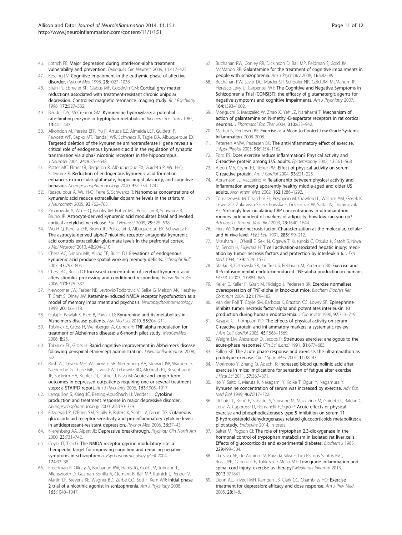- <span id="page-10-0"></span>46. Lotrich FE: Major depression during interferon-alpha treatment: vulnerability and prevention. Dialogues Clin Neurosci 2009, 11:417–425.
- 47. Kessing LV: Cognitive impairment in the euthymic phase of affective disorder. Psychol Med 1998, 28:1027–1038.
- 48. Shah PJ, Ebmeier KP, Glabus MF, Goodwin GM: Cortical grey matter reductions associated with treatment-resistant chronic unipolar depression. Controlled magnetic resonance imaging study. Br J Psychiatry 1998, 172:527–532.
- 49. Bender DA, McCreanor GM: Kynurenine hydroxylase: a potential rate-limiting enzyme in tryptophan metabolism. Biochem Soc Trans 1985, 13:441–443.
- 50. Alkondon M, Pereira EFR, Yu P, Arruda EZ, Almeida LEF, Guidetti P, Fawcett WP, Sapko MT, Randall WR, Schwarcz R, Tagle DA, Albuquerque EX: Targeted deletion of the kynurenine aminotransferase ii gene reveals a critical role of endogenous kynurenic acid in the regulation of synaptic transmission via alpha7 nicotinic receptors in the hippocampus. J Neurosci 2004, 24:4635–4648.
- 51. Potter MC, Elmer GI, Bergeron R, Albuquerque EX, Guidetti P, Wu H-Q, Schwarcz R: Reduction of endogenous kynurenic acid formation enhances extracellular glutamate, hippocampal plasticity, and cognitive behavior. Neuropsychopharmacology 2010, 35:1734–1742.
- 52. Rassoulpour A, Wu H-Q, Ferre S, Schwarcz R: Nanomolar concentrations of kynurenic acid reduce extracellular dopamine levels in the striatum. J Neurochem 2005, 93:762–765.
- 53. Zmarowski A, Wu H-Q, Brooks JM, Potter MC, Pellicciari R, Schwarcz R, Bruno JP: Astrocyte-derived kynurenic acid modulates basal and evoked cortical acetylcholine release. Eur J Neurosci 2009, 29:529–538.
- 54. Wu H-Q, Pereira EFR, Bruno JP, Pellicciari R, Albuquerque EX, Schwarcz R: The astrocyte-derived alpha7 nicotinic receptor antagonist kynurenic acid controls extracellular glutamate levels in the prefrontal cortex. J Mol Neurosci 2010, 40:204–210.
- 55. Chess AC, Simoni MK, Alling TE, Bucci DJ: Elevations of endogenous kynurenic acid produce spatial working memory deficits. Schizophr Bull 2007, 33:797–804.
- 56. Chess AC, Bucci DJ: Increased concentration of cerebral kynurenic acid alters stimulus processing and conditioned responding. Behav Brain Res 2006, 170:326–332.
- 57. Newcomer JW, Farber NB, Jevtovic-Todorovic V, Selke G, Melson AK, Hershey T, Craft S, Olney JW: Ketamine-induced NMDA receptor hypofunction as a model of memory impairment and psychosis. Neuropsychopharmacology 1999, 20:106–118.
- 58. Gulaj E, Pawlak K, Bien B, Pawlak D: Kynurenine and its metabolites in Alzheimer's disease patients. Adv Med Sci 2010, 55:204–211.
- 59. Tobinick E, Gross H, Weinberger A, Cohen H: TNF-alpha modulation for treatment of Alzheimer's disease: a 6-month pilot study. MedGenMed 2006, 8:25.
- 60. Tobinick EL, Gross H: Rapid cognitive improvement in Alzheimer's disease following perispinal etanercept administration. J Neuroinflammation 2008,  $5.2$
- 61. Rush AJ, Trivedi MH, Wisniewski SR, Nierenberg AA, Stewart JW, Warden D, Niederehe G, Thase ME, Lavori PW, Lebowitz BD, McGrath PJ, Rosenbaum JF, Sackeim HA, Kupfer DJ, Luther J, Fava M: Acute and longer-term outcomes in depressed outpatients requiring one or several treatment steps: a STAR\*D report. Am J Psychiatry 2006, 163:1905-1917.
- 62. Lanquillon S, Krieg JC, Bening-Abu-Shach U, Vedder H: Cytokine production and treatment response in major depressive disorder. Neuropsychopharmacology 2000, 22:370–379.
- 63. Fitzgerald P, O'Brien SM, Scully P, Rijkers K, Scott LV, Dinan TG: Cutaneous glucocorticoid receptor sensitivity and pro-inflammatory cytokine levels in antidepressant-resistant depression. Psychol Med 2006, 36:37–43.
- 64. Nierenberg AA, Alpert JE: Depressive breakthrough. Psychiatr Clin North Am 2000, 23:731–742.
- 65. Coyle JT, Tsai G: The NMDA receptor glycine modulatory site: a therapeutic target for improving cognition and reducing negative symptoms in schizophrenia. Psychopharmacology (Berl) 2004, 174:32–38.
- 66. Freedman R, Olincy A, Buchanan RW, Harris JG, Gold JM, Johnson L, Allensworth D, Guzman-Bonilla A, Clement B, Ball MP, Kutnick J, Pender V, Martin LF, Stevens KE, Wagner BD, Zerbe GO, Soti F, Kem WR: Initial phase 2 trial of a nicotinic agonist in schizophrenia. Am J Psychiatry 2008, 165:1040–1047.
- 67. Buchanan RW, Conley RR, Dickinson D, Ball MP, Feldman S, Gold JM, McMahon RP: Galantamine for the treatment of cognitive impairments in people with schizophrenia. Am J Psychiatry 2008, 165:82-89.
- 68. Buchanan RW, Javitt DC, Marder SR, Schooler NR, Gold JM, McMahon RP, Heresco-Levy U, Carpenter WT: The Cognitive and Negative Symptoms in Schizophrenia Trial (CONSIST): the efficacy of glutamatergic agents for negative symptoms and cognitive impairments. Am J Psychiatry 2007, 164:1593–1602.
- 69. Moriguchi S, Marszalec W, Zhao X, Yeh JZ, Narahashi T: Mechanism of action of galantamine on N-methyl-D-aspartate receptors in rat cortical neurons. J Pharmacol Exp Ther 2004, 310:933–942.
- 70. Mathur N, Pedersen BK: Exercise as a Mean to Control Low-Grade Systemic Inflammation. 2008. 2008.
- 71. Petersen AMW, Pedersen BK: The anti-inflammatory effect of exercise. J Appl Physiol 2005, 98:1154-1162.
- 72. Ford ES: Does exercise reduce inflammation? Physical activity and C-reactive protein among U.S. adults. Epidemiology 2002, 13:561–568.
- 73. Albert MA, Glynn RJ, Ridker PM: Effect of physical activity on serum C-reactive protein. Am J Cardiol 2004, 93:221–225.
- 74. Abramson JL, Vaccarino V: Relationship between physical activity and inflammation among apparently healthy middle-aged and older US adults. Arch Intern Med 2002, 162:1286–1292.
- 75. Tomaszewski M, Charchar FJ, Przybycin M, Crawford L, Wallace AM, Gosek K, Lowe GD, Zukowska-Szczechowska E, Grzeszczak W, Sattar N, Dominiczak AF: Strikingly low circulating CRP concentrations in ultramarathon runners independent of markers of adiposity: how low can you go? Arterioscler Thromb Vasc Biol 2003, 23:1640–1644.
- 76. Fiers W: Tumor necrosis factor. Characterization at the molecular, cellular and in vivo level. FEBS Lett 1991, 285:199–212.
- 77. Mizuhara H, O'Neill E, Seki N, Ogawa T, Kusunoki C, Otsuka K, Satoh S, Niwa M, Senoh H, Fujiwara H: T cell activation-associated hepatic injury: mediation by tumor necrosis factors and protection by interleukin 6. J Exp Med 1994, 179:1529–1537.
- 78. Starkie R, Ostrowski SR, Jauffred S, Febbraio M, Pedersen BK: Exercise and IL-6 infusion inhibit endotoxin-induced TNF-alpha production in humans. FASEB J 2003, 17:884–886.
- 79. Keller C, Keller P, Giralt M, Hidalgo J, Pedersen BK: Exercise normalises overexpression of TNF-alpha in knockout mice. Biochem Biophys Res Commun 2004, 321:179–182.
- 80. Van der Poll T, Coyle SM, Barbosa K, Braxton CC, Lowry SF: Epinephrine inhibits tumor necrosis factor-alpha and potentiates interleukin 10 production during human endotoxemia. J Clin Invest 1996, 97:713-719.
- 81. Kasapis C, Thompson PD: The effects of physical activity on serum C-reactive protein and inflammatory markers: a systematic review. J Am Coll Cardiol 2005, 45:1563–1569.
- 82. Weight LM, Alexander D, Jacobs P: Strenuous exercise: analogous to the acute-phase response? Clin Sci (Lond) 1991, 81:677–683.
- 83. Fallon KE: The acute phase response and exercise: the ultramarathon as prototype exercise. Clin J Sport Med 2001, 11:38-43.
- 84. Morimoto Y, Zhang Q, Adachi K: Increased blood quinolinic acid after exercise in mice: implications for sensation of fatigue after exercise. J Heal Sci 2011, 57:367–371.
- 85. Ito Y, Saito K, Maruta K, Nakagami Y, Koike T, Oguri Y, Nagamura Y: Kynurenine concentration of serum was increased by exercise. Adv Exp Med Biol 1999, 467:717–722.
- 86. Di Luigi L, Botrè F, Sabatini S, Sansone M, Mazzarino M, Guidetti L, Baldari C, Lenzi A, Caporossi D, Romanelli F, Sgrò P: Acute effects of physical exercise and phosphodiesterase's type 5 inhibition on serum 11 β-hydroxysteroid dehydrogenases related glucocorticoids metabolites: a pilot study. Endocrine 2014. in press.
- Salter M, Pogson CI: The role of tryptophan 2,3-dioxygenase in the hormonal control of tryptophan metabolism in isolated rat liver cells. Effects of glucocorticoids and experimental diabetes. Biochem J 1985, 229:499–504.
- 88. Da Silva AE, de Aquino LV, Ruiz da Silva F, Lira FS, dos Santos RVT, Rosa JPP, Caperuto E, Tufik S, de Mello MT: Low-grade inflammation and spinal cord injury: exercise as therapy? Mediators Inflamm 2013, 2013:971841.
- 89. Dunn AL, Trivedi MH, Kampert JB, Clark CG, Chambliss HO: Exercise treatment for depression: efficacy and dose response. Am J Prev Med 2005, 28:1–8.